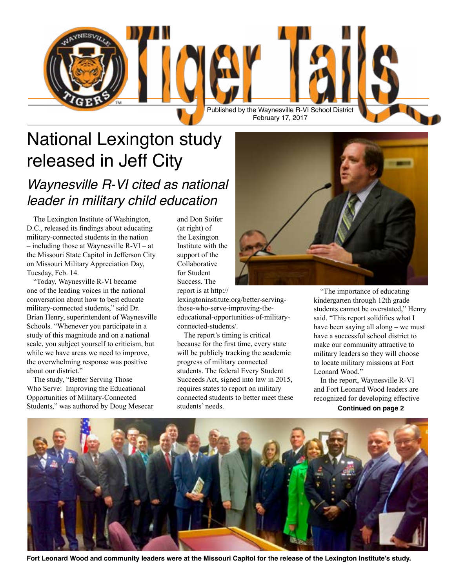

# National Lexington study released in Jeff City

#### *Waynesville R-VI cited as national leader in military child education*

The Lexington Institute of Washington, D.C., released its findings about educating military-connected students in the nation – including those at Waynesville R-VI – at the Missouri State Capitol in Jefferson City on Missouri Military Appreciation Day, Tuesday, Feb. 14.

"Today, Waynesville R-VI became one of the leading voices in the national conversation about how to best educate military-connected students," said Dr. Brian Henry, superintendent of Waynesville Schools. "Whenever you participate in a study of this magnitude and on a national scale, you subject yourself to criticism, but while we have areas we need to improve, the overwhelming response was positive about our district."

The study, "Better Serving Those Who Serve: Improving the Educational Opportunities of Military-Connected Students," was authored by Doug Mesecar and Don Soifer (at right) of the Lexington Institute with the support of the Collaborative for Student Success. The report is [at http://](http://lexingtoninstitute.org/better-serving-those-who-serve-improving-the-educational-opportunities-of-military-connected-students/)

[lexingtoninstitute.org/better-serving](http://lexingtoninstitute.org/better-serving-those-who-serve-improving-the-educational-opportunities-of-military-connected-students/)[those-who-serve-improving-the](http://lexingtoninstitute.org/better-serving-those-who-serve-improving-the-educational-opportunities-of-military-connected-students/)[educational-opportunities-of-military](http://lexingtoninstitute.org/better-serving-those-who-serve-improving-the-educational-opportunities-of-military-connected-students/)[connected-students/.](http://lexingtoninstitute.org/better-serving-those-who-serve-improving-the-educational-opportunities-of-military-connected-students/)

The report's timing is critical because for the first time, every state will be publicly tracking the academic progress of military connected students. The federal Every Student Succeeds Act, signed into law in 2015, requires states to report on military connected students to better meet these students' needs.



"The importance of educating kindergarten through 12th grade students cannot be overstated," Henry said. "This report solidifies what I have been saying all along – we must have a successful school district to make our community attractive to military leaders so they will choose to locate military missions at Fort Leonard Wood."

In the report, Waynesville R-VI and Fort Leonard Wood leaders are recognized for developing effective

**Continued on page 2**



**Fort Leonard Wood and community leaders were at the Missouri Capitol for the release of the Lexington Institute's study.**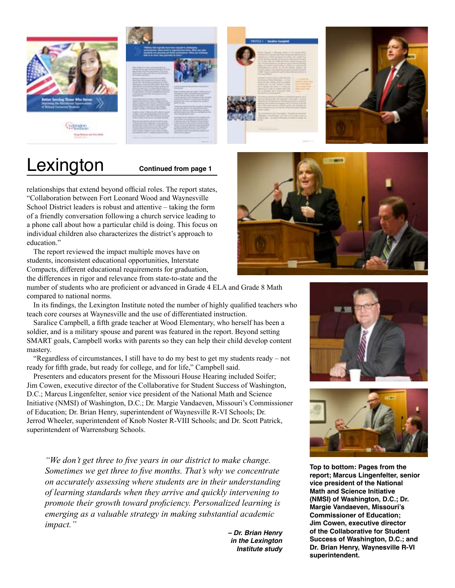







# Lexington **Continued from page 1**

relationships that extend beyond official roles. The report states, "Collaboration between Fort Leonard Wood and Waynesville School District leaders is robust and attentive – taking the form of a friendly conversation following a church service leading to a phone call about how a particular child is doing. This focus on individual children also characterizes the district's approach to education."

The report reviewed the impact multiple moves have on students, inconsistent educational opportunities, Interstate Compacts, different educational requirements for graduation, the differences in rigor and relevance from state-to-state and the

number of students who are proficient or advanced in Grade 4 ELA and Grade 8 Math compared to national norms.

In its findings, the Lexington Institute noted the number of highly qualified teachers who teach core courses at Waynesville and the use of differentiated instruction.

Saralice Campbell, a fifth grade teacher at Wood Elementary, who herself has been a soldier, and is a military spouse and parent was featured in the report. Beyond setting SMART goals, Campbell works with parents so they can help their child develop content mastery.

"Regardless of circumstances, I still have to do my best to get my students ready – not ready for fifth grade, but ready for college, and for life," Campbell said.

Presenters and educators present for the Missouri House Hearing included Soifer; Jim Cowen, executive director of the Collaborative for Student Success of Washington, D.C.; Marcus Lingenfelter, senior vice president of the National Math and Science Initiative (NMSI) of Washington, D.C.; Dr. Margie Vandaeven, Missouri's Commissioner of Education; Dr. Brian Henry, superintendent of Waynesville R-VI Schools; Dr. Jerrod Wheeler, superintendent of Knob Noster R-VIII Schools; and Dr. Scott Patrick, superintendent of Warrensburg Schools.

*"We don't get three to five years in our district to make change. Sometimes we get three to five months. That's why we concentrate on accurately assessing where students are in their understanding of learning standards when they arrive and quickly intervening to promote their growth toward proficiency. Personalized learning is emerging as a valuable strategy in making substantial academic impact."*

*– Dr. Brian Henry in the Lexington Institute study*







**Top to bottom: Pages from the report; Marcus Lingenfelter, senior vice president of the National Math and Science Initiative (NMSI) of Washington, D.C.; Dr. Margie Vandaeven, Missouri's Commissioner of Education; Jim Cowen, executive director of the Collaborative for Student Success of Washington, D.C.; and Dr. Brian Henry, Waynesville R-VI superintendent.**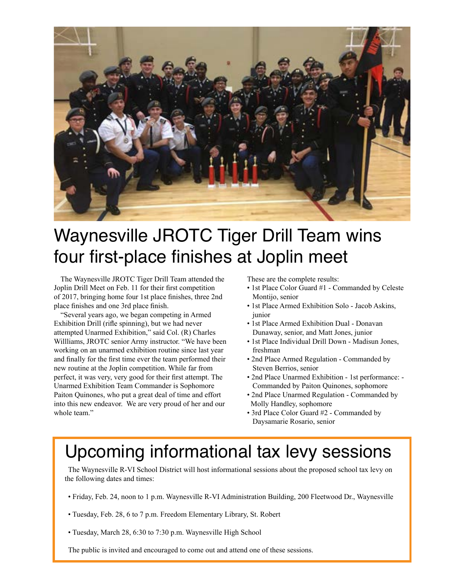

## Waynesville JROTC Tiger Drill Team wins four first-place finishes at Joplin meet

The Waynesville JROTC Tiger Drill Team attended the Joplin Drill Meet on Feb. 11 for their first competition of 2017, bringing home four 1st place finishes, three 2nd place finishes and one 3rd place finish.

"Several years ago, we began competing in Armed Exhibition Drill (rifle spinning), but we had never attempted Unarmed Exhibition," said Col. (R) Charles Willliams, JROTC senior Army instructor. "We have been working on an unarmed exhibition routine since last year and finally for the first time ever the team performed their new routine at the Joplin competition. While far from perfect, it was very, very good for their first attempt. The Unarmed Exhibition Team Commander is Sophomore Paiton Quinones, who put a great deal of time and effort into this new endeavor. We are very proud of her and our whole team."

These are the complete results:

- 1st Place Color Guard #1 Commanded by Celeste Montijo, senior
- 1st Place Armed Exhibition Solo Jacob Askins, junior
- 1st Place Armed Exhibition Dual Donavan Dunaway, senior, and Matt Jones, junior
- 1st Place Individual Drill Down Madisun Jones, freshman
- 2nd Place Armed Regulation Commanded by Steven Berrios, senior
- 2nd Place Unarmed Exhibition 1st performance: Commanded by Paiton Quinones, sophomore
- 2nd Place Unarmed Regulation Commanded by Molly Handley, sophomore
- 3rd Place Color Guard #2 Commanded by Daysamarie Rosario, senior

### Upcoming informational tax levy sessions

The Waynesville R-VI School District will host informational sessions about the proposed school tax levy on the following dates and times:

- Friday, Feb. 24, noon to 1 p.m. Waynesville R-VI Administration Building, 200 Fleetwood Dr., Waynesville
- Tuesday, Feb. 28, 6 to 7 p.m. Freedom Elementary Library, St. Robert
- Tuesday, March 28, 6:30 to 7:30 p.m. Waynesville High School

The public is invited and encouraged to come out and attend one of these sessions.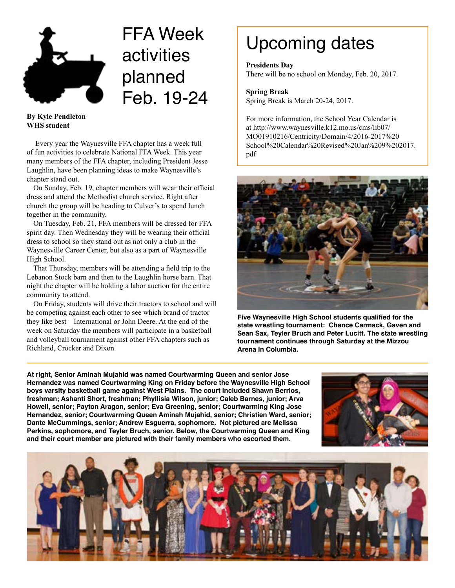

# FFA Week activities planned Feb. 19-24

**By Kyle Pendleton WHS student**

 Every year the Waynesville FFA chapter has a week full of fun activities to celebrate National FFA Week. This year many members of the FFA chapter, including President Jesse Laughlin, have been planning ideas to make Waynesville's chapter stand out.

On Sunday, Feb. 19, chapter members will wear their official dress and attend the Methodist church service. Right after church the group will be heading to Culver's to spend lunch together in the community.

On Tuesday, Feb. 21, FFA members will be dressed for FFA spirit day. Then Wednesday they will be wearing their official dress to school so they stand out as not only a club in the Waynesville Career Center, but also as a part of Waynesville High School.

That Thursday, members will be attending a field trip to the Lebanon Stock barn and then to the Laughlin horse barn. That night the chapter will be holding a labor auction for the entire community to attend.

On Friday, students will drive their tractors to school and will be competing against each other to see which brand of tractor they like best – International or John Deere. At the end of the week on Saturday the members will participate in a basketball and volleyball tournament against other FFA chapters such as Richland, Crocker and Dixon.

# Upcoming dates

**Presidents Day** There will be no school on Monday, Feb. 20, 2017.

#### **Spring Break** Spring Break is March 20-24, 2017.

For more information, the School Year Calendar is at [http://www.waynesville.k12.mo.us/cms/lib07/](http://www.waynesville.k12.mo.us/cms/lib07/MO01910216/Centricity/Domain/4/2016-2017%20School%20Calendar%20Revised%20Jan%209%202017.pdf) [MO01910216/Centricity/Domain/4/2016-2017%20](http://www.waynesville.k12.mo.us/cms/lib07/MO01910216/Centricity/Domain/4/2016-2017%20School%20Calendar%20Revised%20Jan%209%202017.pdf) [School%20Calendar%20Revised%20Jan%209%202017.](http://www.waynesville.k12.mo.us/cms/lib07/MO01910216/Centricity/Domain/4/2016-2017%20School%20Calendar%20Revised%20Jan%209%202017.pdf) [pdf](http://www.waynesville.k12.mo.us/cms/lib07/MO01910216/Centricity/Domain/4/2016-2017%20School%20Calendar%20Revised%20Jan%209%202017.pdf)



**Five Waynesville High School students qualified for the state wrestling tournament: Chance Carmack, Gaven and Sean Sax, Teyler Bruch and Peter Lucitt. The state wrestling tournament continues through Saturday at the Mizzou Arena in Columbia.**

**At right, Senior Aminah Mujahid was named Courtwarming Queen and senior Jose Hernandez was named Courtwarming King on Friday before the Waynesville High School boys varsity basketball game against West Plains. The court included Shawn Berrios, freshman; Ashanti Short, freshman; Phyllisia Wilson, junior; Caleb Barnes, junior; Arva Howell, senior; Payton Aragon, senior; Eva Greening, senior; Courtwarming King Jose Hernandez, senior; Courtwarming Queen Aminah Mujahid, senior; Christien Ward, senior; Dante McCummings, senior; Andrew Esguerra, sophomore. Not pictured are Melissa Perkins, sophomore, and Teyler Bruch, senior. Below, the Courtwarming Queen and King and their court member are pictured with their family members who escorted them.**



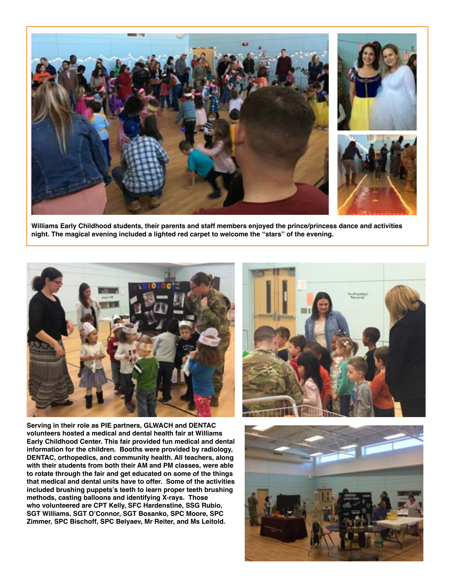

**Williams Early Childhood students, their parents and staff members enjoyed the prince/princess dance and activities night. The magical evening included a lighted red carpet to welcome the "stars" of the evening.** 



**Serving in their role as PIE partners, GLWACH and DENTAC volunteers hosted a medical and dental health fair at Williams Early Childhood Center. This fair provided fun medical and dental information for the children. Booths were provided by radiology, DENTAC, orthopedics, and community health. All teachers, along with their students from both their AM and PM classes, were able to rotate through the fair and get educated on some of the things that medical and dental units have to offer. Some of the activities included brushing puppets's teeth to learn proper teeth brushing methods, casting balloons and identifying X-rays. Those who volunteered are CPT Kelly, SFC Hardenstine, SSG Rubio, SGT Williams, SGT O'Connor, SGT Bosanko, SPC Moore, SPC Zimmer, SPC Bischoff, SPC Belyaev, Mr Reiter, and Ms Leitold.**